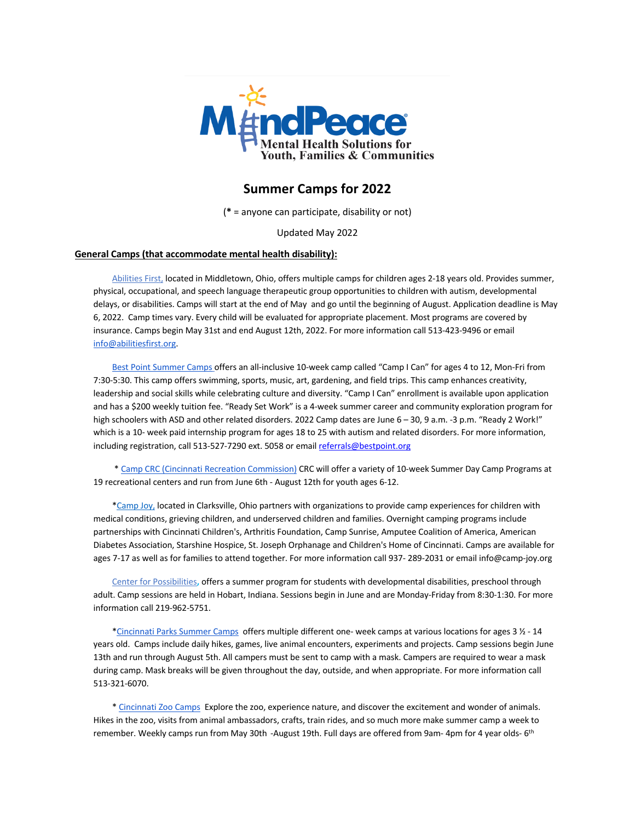

# **Summer Camps for 2022**

(**\*** = anyone can participate, disability or not)

Updated May 2022

## **General Camps (that accommodate mental health disability):**

Abilities First, located in Middletown, Ohio, offers multiple camps for children ages 2-18 years old. Provides summer, physical, occupational, and speech language therapeutic group opportunities to children with autism, developmental delays, or disabilities. Camps will start at the end of May and go until the beginning of August. Application deadline is May 6, 2022. Camp times vary. Every child will be evaluated for appropriate placement. Most programs are covered by insurance. Camps begin May 31st and end August 12th, 2022. For more information call 513-423-9496 or email info@abilitiesfirst.org.

 Best Point Summer Camps offers an all-inclusive 10-week camp called "Camp I Can" for ages 4 to 12, Mon-Fri from 7:30-5:30. This camp offers swimming, sports, music, art, gardening, and field trips. This camp enhances creativity, leadership and social skills while celebrating culture and diversity. "Camp I Can" enrollment is available upon application and has a \$200 weekly tuition fee. "Ready Set Work" is a 4-week summer career and community exploration program for high schoolers with ASD and other related disorders. 2022 Camp dates are June 6 - 30, 9 a.m. -3 p.m. "Ready 2 Work!" which is a 10- week paid internship program for ages 18 to 25 with autism and related disorders. For more information, including registration, call 513-527-7290 ext. 5058 or email referrals@bestpoint.org

 \* Camp CRC (Cincinnati Recreation Commission) CRC will offer a variety of 10-week Summer Day Camp Programs at 19 recreational centers and run from June 6th - August 12th for youth ages 6-12.

\*Camp Joy, located in Clarksville, Ohio partners with organizations to provide camp experiences for children with medical conditions, grieving children, and underserved children and families. Overnight camping programs include partnerships with Cincinnati Children's, Arthritis Foundation, Camp Sunrise, Amputee Coalition of America, American Diabetes Association, Starshine Hospice, St. Joseph Orphanage and Children's Home of Cincinnati. Camps are available for ages 7-17 as well as for families to attend together. For more information call 937- 289-2031 or email info@camp-joy.org

 Center for Possibilities**,** offers a summer program for students with developmental disabilities, preschool through adult. Camp sessions are held in Hobart, Indiana. Sessions begin in June and are Monday-Friday from 8:30-1:30. For more information call 219-962-5751.

 \*Cincinnati Parks Summer Camps offers multiple different one- week camps at various locations for ages 3 ½ - 14 years old. Camps include daily hikes, games, live animal encounters, experiments and projects. Camp sessions begin June 13th and run through August 5th. All campers must be sent to camp with a mask. Campers are required to wear a mask during camp. Mask breaks will be given throughout the day, outside, and when appropriate. For more information call 513-321-6070.

 \* Cincinnati Zoo Camps Explore the zoo, experience nature, and discover the excitement and wonder of animals. Hikes in the zoo, visits from animal ambassadors, crafts, train rides, and so much more make summer camp a week to remember. Weekly camps run from May 30th -August 19th. Full days are offered from 9am- 4pm for 4 year olds- 6<sup>th</sup>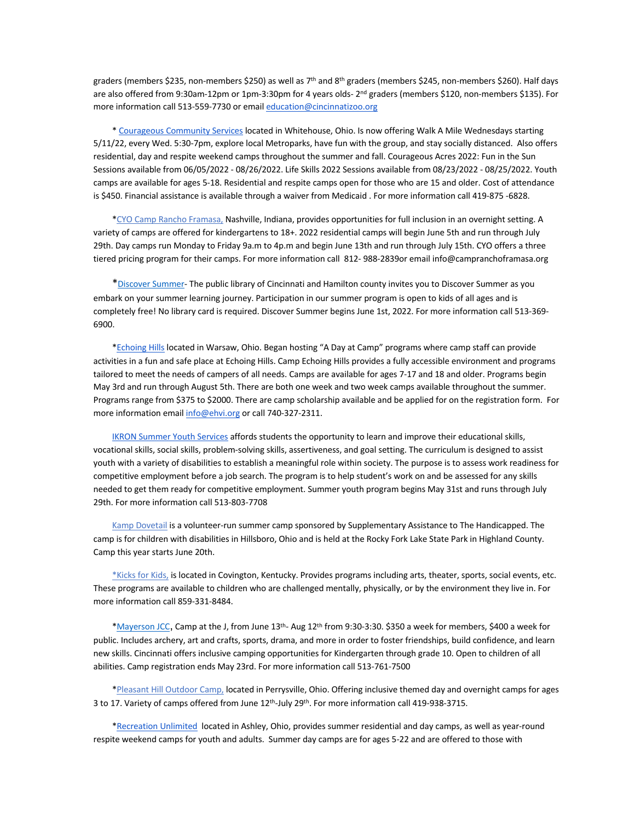graders (members \$235, non-members \$250) as well as 7<sup>th</sup> and 8<sup>th</sup> graders (members \$245, non-members \$260). Half days are also offered from 9:30am-12pm or 1pm-3:30pm for 4 years olds- 2<sup>nd</sup> graders (members \$120, non-members \$135). For more information call 513-559-7730 or email education@cincinnatizoo.org

 \* Courageous Community Services located in Whitehouse, Ohio. Is now offering Walk A Mile Wednesdays starting 5/11/22, every Wed. 5:30-7pm, explore local Metroparks, have fun with the group, and stay socially distanced. Also offers residential, day and respite weekend camps throughout the summer and fall. Courageous Acres 2022: Fun in the Sun Sessions available from 06/05/2022 - 08/26/2022. Life Skills 2022 Sessions available from 08/23/2022 - 08/25/2022. Youth camps are available for ages 5-18. Residential and respite camps open for those who are 15 and older. Cost of attendance is \$450. Financial assistance is available through a waiver from Medicaid . For more information call 419-875 -6828.

 \*CYO Camp Rancho Framasa, Nashville, Indiana, provides opportunities for full inclusion in an overnight setting. A variety of camps are offered for kindergartens to 18+. 2022 residential camps will begin June 5th and run through July 29th. Day camps run Monday to Friday 9a.m to 4p.m and begin June 13th and run through July 15th. CYO offers a three tiered pricing program for their camps. For more information call 812- 988-2839or email info@campranchoframasa.org

 \*Discover Summer- The public library of Cincinnati and Hamilton county invites you to Discover Summer as you embark on your summer learning journey. Participation in our summer program is open to kids of all ages and is completely free! No library card is required. Discover Summer begins June 1st, 2022. For more information call 513-369- 6900.

 \*Echoing Hills located in Warsaw, Ohio. Began hosting "A Day at Camp" programs where camp staff can provide activities in a fun and safe place at Echoing Hills. Camp Echoing Hills provides a fully accessible environment and programs tailored to meet the needs of campers of all needs. Camps are available for ages 7-17 and 18 and older. Programs begin May 3rd and run through August 5th. There are both one week and two week camps available throughout the summer. Programs range from \$375 to \$2000. There are camp scholarship available and be applied for on the registration form. For more information email info@ehvi.org or call 740-327-2311.

 IKRON Summer Youth Services affords students the opportunity to learn and improve their educational skills, vocational skills, social skills, problem-solving skills, assertiveness, and goal setting. The curriculum is designed to assist youth with a variety of disabilities to establish a meaningful role within society. The purpose is to assess work readiness for competitive employment before a job search. The program is to help student's work on and be assessed for any skills needed to get them ready for competitive employment. Summer youth program begins May 31st and runs through July 29th. For more information call 513-803-7708

Kamp Dovetail is a volunteer-run summer camp sponsored by Supplementary Assistance to The Handicapped. The camp is for children with disabilities in Hillsboro, Ohio and is held at the Rocky Fork Lake State Park in Highland County. Camp this year starts June 20th.

\*Kicks for Kids, is located in Covington, Kentucky. Provides programs including arts, theater, sports, social events, etc. These programs are available to children who are challenged mentally, physically, or by the environment they live in. For more information call 859-331-8484.

 \*Mayerson JCC, Camp at the J, from June 13th- Aug 12th from 9:30-3:30. \$350 a week for members, \$400 a week for public. Includes archery, art and crafts, sports, drama, and more in order to foster friendships, build confidence, and learn new skills. Cincinnati offers inclusive camping opportunities for Kindergarten through grade 10. Open to children of all abilities. Camp registration ends May 23rd. For more information call 513-761-7500

 \*Pleasant Hill Outdoor Camp, located in Perrysville, Ohio. Offering inclusive themed day and overnight camps for ages 3 to 17. Variety of camps offered from June 12th-July 29th. For more information call 419-938-3715.

 \*Recreation Unlimited located in Ashley, Ohio, provides summer residential and day camps, as well as year-round respite weekend camps for youth and adults. Summer day camps are for ages 5-22 and are offered to those with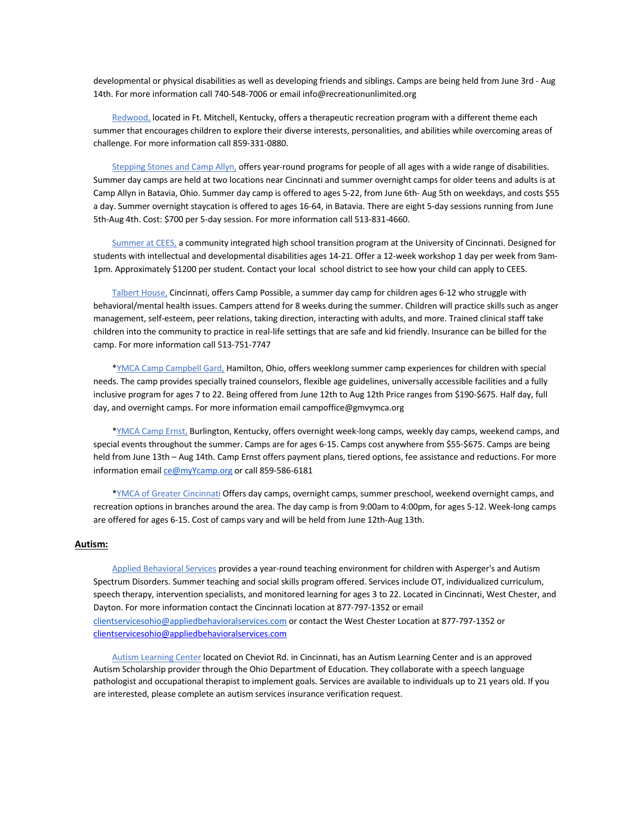developmental or physical disabilities as well as developing friends and siblings. Camps are being held from June 3rd - Aug 14th. For more information call 740-548-7006 or email info@recreationunlimited.org

 Redwood, located in Ft. Mitchell, Kentucky, offers a therapeutic recreation program with a different theme each summer that encourages children to explore their diverse interests, personalities, and abilities while overcoming areas of challenge. For more information call 859-331-0880.

 Stepping Stones and Camp Allyn, offers year-round programs for people of all ages with a wide range of disabilities. Summer day camps are held at two locations near Cincinnati and summer overnight camps for older teens and adults is at Camp Allyn in Batavia, Ohio. Summer day camp is offered to ages 5-22, from June 6th- Aug 5th on weekdays, and costs \$55 a day. Summer overnight staycation is offered to ages 16-64, in Batavia. There are eight 5-day sessions running from June 5th-Aug 4th. Cost: \$700 per 5-day session. For more information call 513-831-4660.

 Summer at CEES, a community integrated high school transition program at the University of Cincinnati. Designed for students with intellectual and developmental disabilities ages 14-21. Offer a 12-week workshop 1 day per week from 9am-1pm. Approximately \$1200 per student. Contact your local school district to see how your child can apply to CEES.

 Talbert House, Cincinnati, offers Camp Possible, a summer day camp for children ages 6-12 who struggle with behavioral/mental health issues. Campers attend for 8 weeks during the summer. Children will practice skills such as anger management, self-esteem, peer relations, taking direction, interacting with adults, and more. Trained clinical staff take children into the community to practice in real-life settings that are safe and kid friendly. Insurance can be billed for the camp. For more information call 513-751-7747

 \*YMCA Camp Campbell Gard, Hamilton, Ohio, offers weeklong summer camp experiences for children with special needs. The camp provides specially trained counselors, flexible age guidelines, universally accessible facilities and a fully inclusive program for ages 7 to 22. Being offered from June 12th to Aug 12th Price ranges from \$190-\$675. Half day, full day, and overnight camps. For more information email campoffice@gmvymca.org

 \*YMCA Camp Ernst, Burlington, Kentucky, offers overnight week-long camps, weekly day camps, weekend camps, and special events throughout the summer. Camps are for ages 6-15. Camps cost anywhere from \$55-\$675. Camps are being held from June 13th – Aug 14th. Camp Ernst offers payment plans, tiered options, fee assistance and reductions. For more information email ce@myYcamp.org or call 859-586-6181

 \*YMCA of Greater Cincinnati Offers day camps, overnight camps, summer preschool, weekend overnight camps, and recreation options in branches around the area. The day camp is from 9:00am to 4:00pm, for ages 5-12. Week-long camps are offered for ages 6-15. Cost of camps vary and will be held from June 12th-Aug 13th.

#### **Autism:**

 Applied Behavioral Services provides a year-round teaching environment for children with Asperger's and Autism Spectrum Disorders. Summer teaching and social skills program offered. Services include OT, individualized curriculum, speech therapy, intervention specialists, and monitored learning for ages 3 to 22. Located in Cincinnati, West Chester, and Dayton. For more information contact the Cincinnati location at 877-797-1352 or email clientservicesohio@appliedbehavioralservices.com or contact the West Chester Location at 877-797-1352 or clientservicesohio@appliedbehavioralservices.com

 Autism Learning Center located on Cheviot Rd. in Cincinnati, has an Autism Learning Center and is an approved Autism Scholarship provider through the Ohio Department of Education. They collaborate with a speech language pathologist and occupational therapist to implement goals. Services are available to individuals up to 21 years old. If you are interested, please complete an autism services insurance verification request.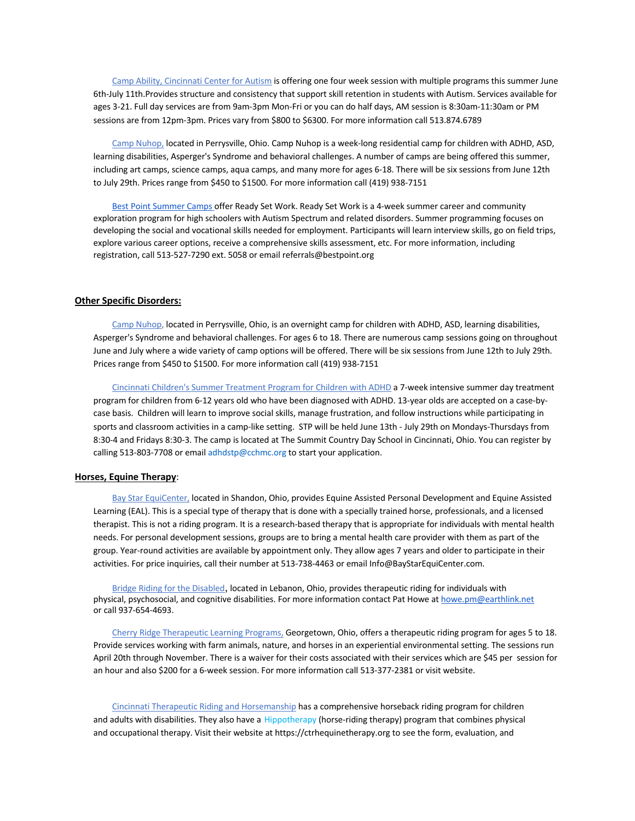Camp Ability, Cincinnati Center for Autism is offering one four week session with multiple programs this summer June 6th-July 11th.Provides structure and consistency that support skill retention in students with Autism. Services available for ages 3-21. Full day services are from 9am-3pm Mon-Fri or you can do half days, AM session is 8:30am-11:30am or PM sessions are from 12pm-3pm. Prices vary from \$800 to \$6300. For more information call 513.874.6789

 Camp Nuhop, located in Perrysville, Ohio. Camp Nuhop is a week-long residential camp for children with ADHD, ASD, learning disabilities, Asperger's Syndrome and behavioral challenges. A number of camps are being offered this summer, including art camps, science camps, aqua camps, and many more for ages 6-18. There will be six sessions from June 12th to July 29th. Prices range from \$450 to \$1500. For more information call (419) 938-7151

Best Point Summer Camps offer Ready Set Work. Ready Set Work is a 4-week summer career and community exploration program for high schoolers with Autism Spectrum and related disorders. Summer programming focuses on developing the social and vocational skills needed for employment. Participants will learn interview skills, go on field trips, explore various career options, receive a comprehensive skills assessment, etc. For more information, including registration, call 513-527-7290 ext. 5058 or email referrals@bestpoint.org

## **Other Specific Disorders:**

 Camp Nuhop, located in Perrysville, Ohio, is an overnight camp for children with ADHD, ASD, learning disabilities, Asperger's Syndrome and behavioral challenges. For ages 6 to 18. There are numerous camp sessions going on throughout June and July where a wide variety of camp options will be offered. There will be six sessions from June 12th to July 29th. Prices range from \$450 to \$1500. For more information call (419) 938-7151

 Cincinnati Children's Summer Treatment Program for Children with ADHD a 7-week intensive summer day treatment program for children from 6-12 years old who have been diagnosed with ADHD. 13-year olds are accepted on a case-bycase basis. Children will learn to improve social skills, manage frustration, and follow instructions while participating in sports and classroom activities in a camp-like setting. STP will be held June 13th - July 29th on Mondays-Thursdays from 8:30-4 and Fridays 8:30-3. The camp is located at The Summit Country Day School in Cincinnati, Ohio. You can register by calling 513-803-7708 or email adhdstp@cchmc.org to start your application.

## **Horses, Equine Therapy**:

 Bay Star EquiCenter, located in Shandon, Ohio, provides Equine Assisted Personal Development and Equine Assisted Learning (EAL). This is a special type of therapy that is done with a specially trained horse, professionals, and a licensed therapist. This is not a riding program. It is a research-based therapy that is appropriate for individuals with mental health needs. For personal development sessions, groups are to bring a mental health care provider with them as part of the group. Year-round activities are available by appointment only. They allow ages 7 years and older to participate in their activities. For price inquiries, call their number at 513-738-4463 or email Info@BayStarEquiCenter.com.

 Bridge Riding for the Disabled, located in Lebanon, Ohio, provides therapeutic riding for individuals with physical, psychosocial, and cognitive disabilities. For more information contact Pat Howe at howe.pm@earthlink.net or call 937-654-4693.

 Cherry Ridge Therapeutic Learning Programs, Georgetown, Ohio, offers a therapeutic riding program for ages 5 to 18. Provide services working with farm animals, nature, and horses in an experiential environmental setting. The sessions run April 20th through November. There is a waiver for their costs associated with their services which are \$45 per session for an hour and also \$200 for a 6-week session. For more information call 513-377-2381 or visit website.

 Cincinnati Therapeutic Riding and Horsemanship has a comprehensive horseback riding program for children and adults with disabilities. They also have a Hippotherapy (horse-riding therapy) program that combines physical and occupational therapy. Visit their website at https://ctrhequinetherapy.org to see the form, evaluation, and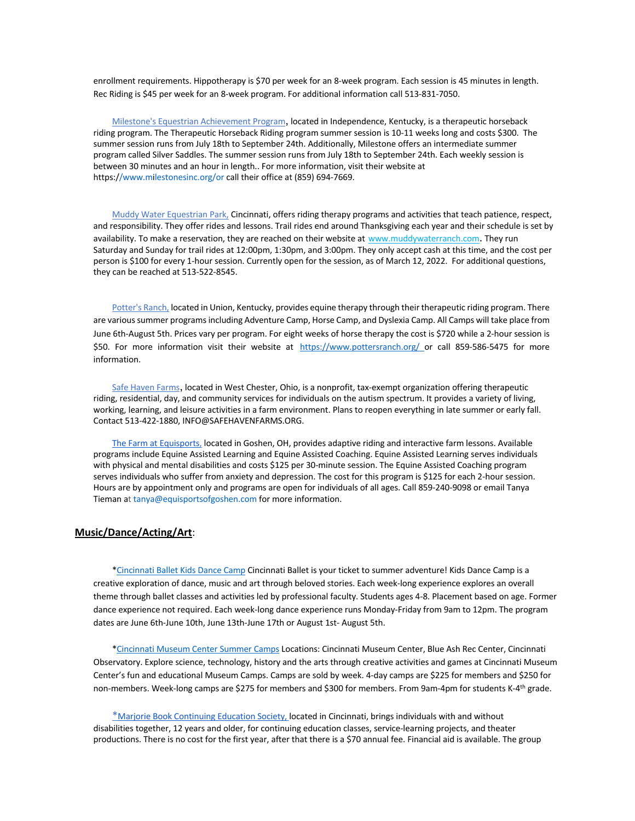enrollment requirements. Hippotherapy is \$70 per week for an 8-week program. Each session is 45 minutes in length. Rec Riding is \$45 per week for an 8-week program. For additional information call 513-831-7050.

 Milestone's Equestrian Achievement Program, located in Independence, Kentucky, is a therapeutic horseback riding program. The Therapeutic Horseback Riding program summer session is 10-11 weeks long and costs \$300. The summer session runs from July 18th to September 24th. Additionally, Milestone offers an intermediate summer program called Silver Saddles. The summer session runs from July 18th to September 24th. Each weekly session is between 30 minutes and an hour in length.. For more information, visit their website at https://www.milestonesinc.org/or call their office at (859) 694-7669.

 Muddy Water Equestrian Park, Cincinnati, offers riding therapy programs and activities that teach patience, respect, and responsibility. They offer rides and lessons. Trail rides end around Thanksgiving each year and their schedule is set by availability. To make a reservation, they are reached on their website at www.muddywaterranch.com. They run Saturday and Sunday for trail rides at 12:00pm, 1:30pm, and 3:00pm. They only accept cash at this time, and the cost per person is \$100 for every 1-hour session. Currently open for the session, as of March 12, 2022. For additional questions, they can be reached at 513-522-8545.

Potter's Ranch, located in Union, Kentucky, provides equine therapy through their therapeutic riding program. There are various summer programs including Adventure Camp, Horse Camp, and Dyslexia Camp. All Camps will take place from June 6th-August 5th. Prices vary per program. For eight weeks of horse therapy the cost is \$720 while a 2-hour session is \$50. For more information visit their website at https://www.pottersranch.org/ or call 859-586-5475 for more information.

 Safe Haven Farms, located in West Chester, Ohio, is a nonprofit, tax-exempt organization offering therapeutic riding, residential, day, and community services for individuals on the autism spectrum. It provides a variety of living, working, learning, and leisure activities in a farm environment. Plans to reopen everything in late summer or early fall. Contact 513-422-1880, INFO@SAFEHAVENFARMS.ORG.

 The Farm at Equisports, located in Goshen, OH, provides adaptive riding and interactive farm lessons. Available programs include Equine Assisted Learning and Equine Assisted Coaching. Equine Assisted Learning serves individuals with physical and mental disabilities and costs \$125 per 30-minute session. The Equine Assisted Coaching program serves individuals who suffer from anxiety and depression. The cost for this program is \$125 for each 2-hour session. Hours are by appointment only and programs are open for individuals of all ages. Call 859-240-9098 or email Tanya Tieman at tanya@equisportsofgoshen.com for more information.

## **Music/Dance/Acting/Art**:

 \*Cincinnati Ballet Kids Dance Camp Cincinnati Ballet is your ticket to summer adventure! Kids Dance Camp is a creative exploration of dance, music and art through beloved stories. Each week-long experience explores an overall theme through ballet classes and activities led by professional faculty. Students ages 4-8. Placement based on age. Former dance experience not required. Each week-long dance experience runs Monday-Friday from 9am to 12pm. The program dates are June 6th-June 10th, June 13th-June 17th or August 1st- August 5th.

 \*Cincinnati Museum Center Summer Camps Locations: Cincinnati Museum Center, Blue Ash Rec Center, Cincinnati Observatory. Explore science, technology, history and the arts through creative activities and games at Cincinnati Museum Center's fun and educational Museum Camps. Camps are sold by week. 4-day camps are \$225 for members and \$250 for non-members. Week-long camps are \$275 for members and \$300 for members. From 9am-4pm for students K-4<sup>th</sup> grade.

 \*Marjorie Book Continuing Education Society, located in Cincinnati, brings individuals with and without disabilities together, 12 years and older, for continuing education classes, service-learning projects, and theater productions. There is no cost for the first year, after that there is a \$70 annual fee. Financial aid is available. The group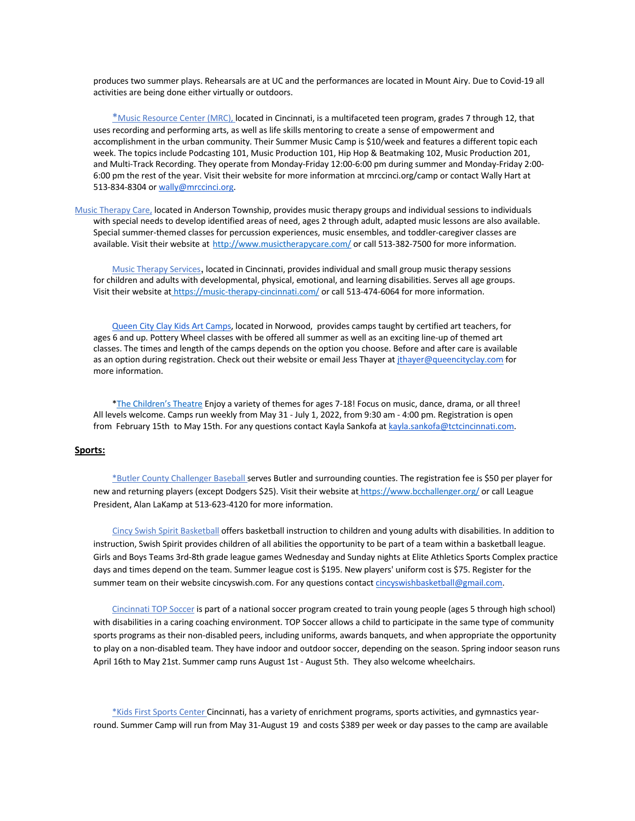produces two summer plays. Rehearsals are at UC and the performances are located in Mount Airy. Due to Covid-19 all activities are being done either virtually or outdoors.

\*Music Resource Center (MRC), located in Cincinnati, is a multifaceted teen program, grades 7 through 12, that uses recording and performing arts, as well as life skills mentoring to create a sense of empowerment and accomplishment in the urban community. Their Summer Music Camp is \$10/week and features a different topic each week. The topics include Podcasting 101, Music Production 101, Hip Hop & Beatmaking 102, Music Production 201, and Multi-Track Recording. They operate from Monday-Friday 12:00-6:00 pm during summer and Monday-Friday 2:00- 6:00 pm the rest of the year. Visit their website for more information at mrccinci.org/camp or contact Wally Hart at 513-834-8304 or wally@mrccinci.org.

Music Therapy Care, located in Anderson Township, provides music therapy groups and individual sessions to individuals with special needs to develop identified areas of need, ages 2 through adult, adapted music lessons are also available. Special summer-themed classes for percussion experiences, music ensembles, and toddler-caregiver classes are available. Visit their website at http://www.musictherapycare.com/ or call 513-382-7500 for more information.

 Music Therapy Services, located in Cincinnati, provides individual and small group music therapy sessions for children and adults with developmental, physical, emotional, and learning disabilities. Serves all age groups. Visit their website at https://music-therapy-cincinnati.com/ or call 513-474-6064 for more information.

 Queen City Clay Kids Art Camps, located in Norwood, provides camps taught by certified art teachers, for ages 6 and up. Pottery Wheel classes with be offered all summer as well as an exciting line-up of themed art classes. The times and length of the camps depends on the option you choose. Before and after care is available as an option during registration. Check out their website or email Jess Thayer at *ithayer@queencityclay.com* for more information.

 \*The Children's Theatre Enjoy a variety of themes for ages 7-18! Focus on music, dance, drama, or all three! All levels welcome. Camps run weekly from May 31 - July 1, 2022, from 9:30 am - 4:00 pm. Registration is open from February 15th to May 15th. For any questions contact Kayla Sankofa at kayla.sankofa@tctcincinnati.com.

## **Sports:**

\*Butler County Challenger Baseball serves Butler and surrounding counties. The registration fee is \$50 per player for new and returning players (except Dodgers \$25). Visit their website at https://www.bcchallenger.org/ or call League President, Alan LaKamp at 513-623-4120 for more information.

 Cincy Swish Spirit Basketball offers basketball instruction to children and young adults with disabilities. In addition to instruction, Swish Spirit provides children of all abilities the opportunity to be part of a team within a basketball league. Girls and Boys Teams 3rd-8th grade league games Wednesday and Sunday nights at Elite Athletics Sports Complex practice days and times depend on the team. Summer league cost is \$195. New players' uniform cost is \$75. Register for the summer team on their website cincyswish.com. For any questions contact cincyswishbasketball@gmail.com.

 Cincinnati TOP Soccer is part of a national soccer program created to train young people (ages 5 through high school) with disabilities in a caring coaching environment. TOP Soccer allows a child to participate in the same type of community sports programs as their non-disabled peers, including uniforms, awards banquets, and when appropriate the opportunity to play on a non-disabled team. They have indoor and outdoor soccer, depending on the season. Spring indoor season runs April 16th to May 21st. Summer camp runs August 1st - August 5th. They also welcome wheelchairs.

 \*Kids First Sports Center Cincinnati, has a variety of enrichment programs, sports activities, and gymnastics yearround. Summer Camp will run from May 31-August 19 and costs \$389 per week or day passes to the camp are available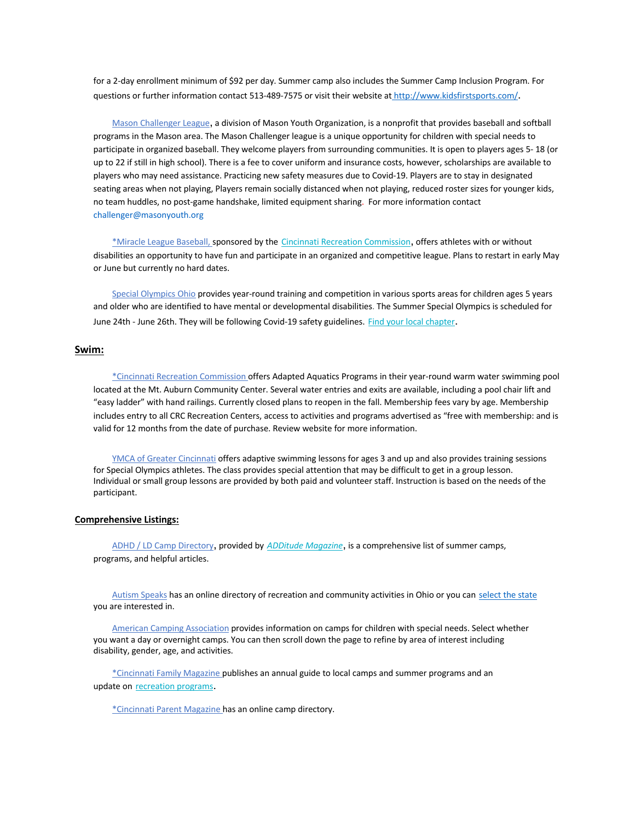for a 2-day enrollment minimum of \$92 per day. Summer camp also includes the Summer Camp Inclusion Program. For questions or further information contact 513-489-7575 or visit their website at http://www.kidsfirstsports.com/.

 Mason Challenger League, a division of Mason Youth Organization, is a nonprofit that provides baseball and softball programs in the Mason area. The Mason Challenger league is a unique opportunity for children with special needs to participate in organized baseball. They welcome players from surrounding communities. It is open to players ages 5- 18 (or up to 22 if still in high school). There is a fee to cover uniform and insurance costs, however, scholarships are available to players who may need assistance. Practicing new safety measures due to Covid-19. Players are to stay in designated seating areas when not playing, Players remain socially distanced when not playing, reduced roster sizes for younger kids, no team huddles, no post-game handshake, limited equipment sharing. For more information contact challenger@masonyouth.org

 \*Miracle League Baseball, sponsored by the Cincinnati Recreation Commission, offers athletes with or without disabilities an opportunity to have fun and participate in an organized and competitive league. Plans to restart in early May or June but currently no hard dates.

 Special Olympics Ohio provides year-round training and competition in various sports areas for children ages 5 years and older who are identified to have mental or developmental disabilities. The Summer Special Olympics is scheduled for June 24th - June 26th. They will be following Covid-19 safety guidelines. Find your local chapter.

### **Swim:**

 \*Cincinnati Recreation Commission offers Adapted Aquatics Programs in their year-round warm water swimming pool located at the Mt. Auburn Community Center. Several water entries and exits are available, including a pool chair lift and "easy ladder" with hand railings. Currently closed plans to reopen in the fall. Membership fees vary by age. Membership includes entry to all CRC Recreation Centers, access to activities and programs advertised as "free with membership: and is valid for 12 months from the date of purchase. Review website for more information.

 YMCA of Greater Cincinnati offers adaptive swimming lessons for ages 3 and up and also provides training sessions for Special Olympics athletes. The class provides special attention that may be difficult to get in a group lesson. Individual or small group lessons are provided by both paid and volunteer staff. Instruction is based on the needs of the participant.

## **Comprehensive Listings:**

 ADHD / LD Camp Directory, provided by *ADDitude Magazine*, is a comprehensive list of summer camps, programs, and helpful articles.

 Autism Speaks has an online directory of recreation and community activities in Ohio or you can select the state you are interested in.

 American Camping Association provides information on camps for children with special needs. Select whether you want a day or overnight camps. You can then scroll down the page to refine by area of interest including disability, gender, age, and activities.

 \*Cincinnati Family Magazine publishes an annual guide to local camps and summer programs and an update on recreation programs.

\*Cincinnati Parent Magazine has an online camp directory.